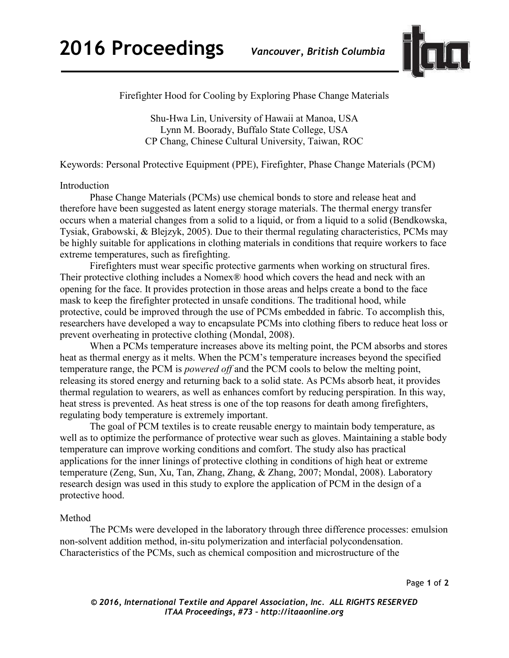

Firefighter Hood for Cooling by Exploring Phase Change Materials

Shu-Hwa Lin, University of Hawaii at Manoa, USA Lynn M. Boorady, Buffalo State College, USA CP Chang, Chinese Cultural University, Taiwan, ROC

Keywords: Personal Protective Equipment (PPE), Firefighter, Phase Change Materials (PCM)

## Introduction

Phase Change Materials (PCMs) use chemical bonds to store and release heat and therefore have been suggested as latent energy storage materials. The thermal energy transfer occurs when a material changes from a solid to a liquid, or from a liquid to a solid (Bendkowska, Tysiak, Grabowski, & Blejzyk, 2005). Due to their thermal regulating characteristics, PCMs may be highly suitable for applications in clothing materials in conditions that require workers to face extreme temperatures, such as firefighting.

Firefighters must wear specific protective garments when working on structural fires. Their protective clothing includes a Nomex® hood which covers the head and neck with an opening for the face. It provides protection in those areas and helps create a bond to the face mask to keep the firefighter protected in unsafe conditions. The traditional hood, while protective, could be improved through the use of PCMs embedded in fabric. To accomplish this, researchers have developed a way to encapsulate PCMs into clothing fibers to reduce heat loss or prevent overheating in protective clothing (Mondal, 2008).

 When a PCMs temperature increases above its melting point, the PCM absorbs and stores heat as thermal energy as it melts. When the PCM's temperature increases beyond the specified temperature range, the PCM is *powered off* and the PCM cools to below the melting point, releasing its stored energy and returning back to a solid state. As PCMs absorb heat, it provides thermal regulation to wearers, as well as enhances comfort by reducing perspiration. In this way, heat stress is prevented. As heat stress is one of the top reasons for death among firefighters, regulating body temperature is extremely important.

The goal of PCM textiles is to create reusable energy to maintain body temperature, as well as to optimize the performance of protective wear such as gloves. Maintaining a stable body temperature can improve working conditions and comfort. The study also has practical applications for the inner linings of protective clothing in conditions of high heat or extreme temperature (Zeng, Sun, Xu, Tan, Zhang, Zhang, & Zhang, 2007; Mondal, 2008). Laboratory research design was used in this study to explore the application of PCM in the design of a protective hood.

## Method

The PCMs were developed in the laboratory through three difference processes: emulsion non-solvent addition method, in-situ polymerization and interfacial polycondensation. Characteristics of the PCMs, such as chemical composition and microstructure of the

Page **1** of **2**